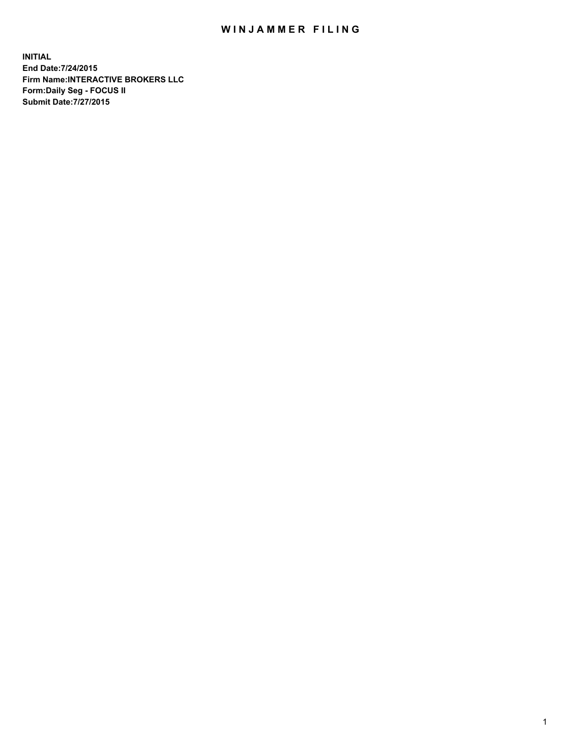## WIN JAMMER FILING

**INITIAL End Date:7/24/2015 Firm Name:INTERACTIVE BROKERS LLC Form:Daily Seg - FOCUS II Submit Date:7/27/2015**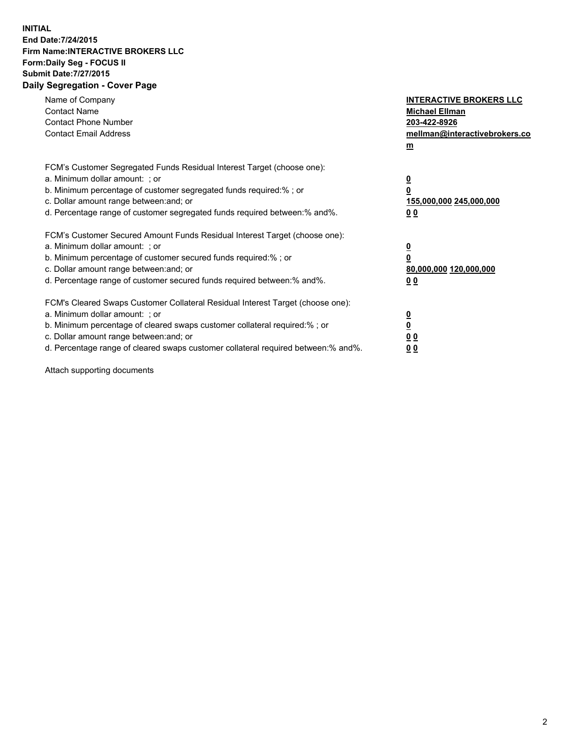## **INITIAL End Date:7/24/2015 Firm Name:INTERACTIVE BROKERS LLC Form:Daily Seg - FOCUS II Submit Date:7/27/2015 Daily Segregation - Cover Page**

| Name of Company<br><b>Contact Name</b><br><b>Contact Phone Number</b><br><b>Contact Email Address</b>                                                                                                                                                                                                                          | <b>INTERACTIVE BROKERS LLC</b><br><b>Michael Ellman</b><br>203-422-8926<br>mellman@interactivebrokers.co<br>$m$ |
|--------------------------------------------------------------------------------------------------------------------------------------------------------------------------------------------------------------------------------------------------------------------------------------------------------------------------------|-----------------------------------------------------------------------------------------------------------------|
| FCM's Customer Segregated Funds Residual Interest Target (choose one):<br>a. Minimum dollar amount: ; or<br>b. Minimum percentage of customer segregated funds required:% ; or<br>c. Dollar amount range between: and; or<br>d. Percentage range of customer segregated funds required between: % and %.                       | $\overline{\mathbf{0}}$<br>0<br>155,000,000 245,000,000<br>00                                                   |
| FCM's Customer Secured Amount Funds Residual Interest Target (choose one):<br>a. Minimum dollar amount: ; or<br>b. Minimum percentage of customer secured funds required:%; or<br>c. Dollar amount range between: and; or<br>d. Percentage range of customer secured funds required between: % and %.                          | $\overline{\mathbf{0}}$<br>0<br>80,000,000 120,000,000<br>0 <sub>0</sub>                                        |
| FCM's Cleared Swaps Customer Collateral Residual Interest Target (choose one):<br>a. Minimum dollar amount: ; or<br>b. Minimum percentage of cleared swaps customer collateral required:% ; or<br>c. Dollar amount range between: and; or<br>d. Percentage range of cleared swaps customer collateral required between:% and%. | $\overline{\mathbf{0}}$<br>$\underline{\mathbf{0}}$<br>0 <sub>0</sub><br>0 <sub>0</sub>                         |

Attach supporting documents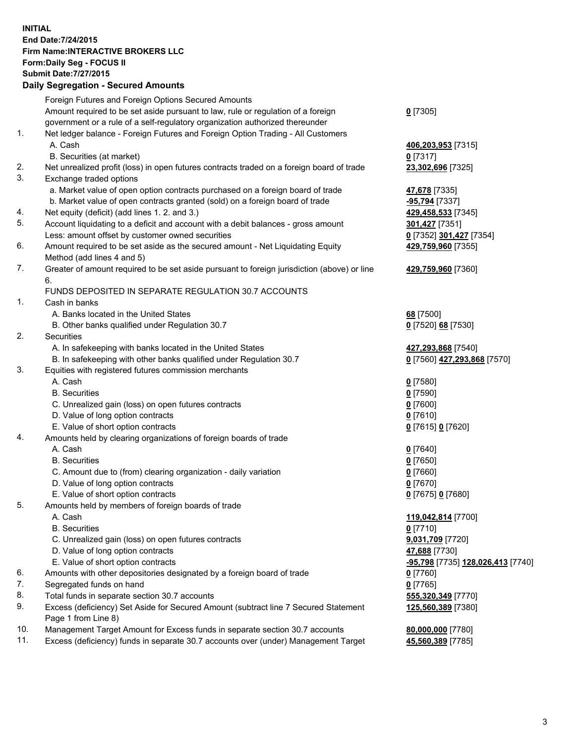## **INITIAL End Date:7/24/2015 Firm Name:INTERACTIVE BROKERS LLC Form:Daily Seg - FOCUS II Submit Date:7/27/2015**

|     | <b>Daily Segregation - Secured Amounts</b>                                                  |                                   |
|-----|---------------------------------------------------------------------------------------------|-----------------------------------|
|     | Foreign Futures and Foreign Options Secured Amounts                                         |                                   |
|     | Amount required to be set aside pursuant to law, rule or regulation of a foreign            | $0$ [7305]                        |
|     | government or a rule of a self-regulatory organization authorized thereunder                |                                   |
| 1.  | Net ledger balance - Foreign Futures and Foreign Option Trading - All Customers             |                                   |
|     | A. Cash                                                                                     | 406,203,953 [7315]                |
|     | B. Securities (at market)                                                                   | $0$ [7317]                        |
| 2.  | Net unrealized profit (loss) in open futures contracts traded on a foreign board of trade   | 23,302,696 [7325]                 |
| 3.  | Exchange traded options                                                                     |                                   |
|     | a. Market value of open option contracts purchased on a foreign board of trade              | 47,678 [7335]                     |
|     | b. Market value of open contracts granted (sold) on a foreign board of trade                | -95,794 [7337]                    |
| 4.  | Net equity (deficit) (add lines 1.2. and 3.)                                                | 429,458,533 [7345]                |
| 5.  | Account liquidating to a deficit and account with a debit balances - gross amount           | 301,427 [7351]                    |
|     | Less: amount offset by customer owned securities                                            | 0 [7352] 301,427 [7354]           |
| 6.  | Amount required to be set aside as the secured amount - Net Liquidating Equity              | 429,759,960 [7355]                |
|     | Method (add lines 4 and 5)                                                                  |                                   |
| 7.  | Greater of amount required to be set aside pursuant to foreign jurisdiction (above) or line | 429,759,960 [7360]                |
|     | 6.                                                                                          |                                   |
|     | FUNDS DEPOSITED IN SEPARATE REGULATION 30.7 ACCOUNTS                                        |                                   |
| 1.  | Cash in banks                                                                               |                                   |
|     | A. Banks located in the United States                                                       | 68 [7500]                         |
|     | B. Other banks qualified under Regulation 30.7                                              | 0 [7520] 68 [7530]                |
| 2.  | Securities                                                                                  |                                   |
|     | A. In safekeeping with banks located in the United States                                   | 427,293,868 [7540]                |
|     | B. In safekeeping with other banks qualified under Regulation 30.7                          | 0 [7560] 427,293,868 [7570]       |
| 3.  | Equities with registered futures commission merchants                                       |                                   |
|     | A. Cash                                                                                     | $0$ [7580]                        |
|     | <b>B.</b> Securities                                                                        | $0$ [7590]                        |
|     | C. Unrealized gain (loss) on open futures contracts                                         | $0$ [7600]                        |
|     | D. Value of long option contracts                                                           | $0$ [7610]                        |
|     | E. Value of short option contracts                                                          | 0 [7615] 0 [7620]                 |
| 4.  | Amounts held by clearing organizations of foreign boards of trade                           |                                   |
|     | A. Cash                                                                                     | $0$ [7640]                        |
|     | <b>B.</b> Securities                                                                        | $0$ [7650]                        |
|     | C. Amount due to (from) clearing organization - daily variation                             | $0$ [7660]                        |
|     | D. Value of long option contracts                                                           | $0$ [7670]                        |
|     | E. Value of short option contracts                                                          | 0 [7675] 0 [7680]                 |
| 5.  | Amounts held by members of foreign boards of trade                                          |                                   |
|     | A. Cash                                                                                     | 119,042,814 [7700]                |
|     | <b>B.</b> Securities                                                                        | $0$ [7710]                        |
|     | C. Unrealized gain (loss) on open futures contracts                                         | 9,031,709 [7720]                  |
|     | D. Value of long option contracts                                                           | 47,688 [7730]                     |
|     | E. Value of short option contracts                                                          | -95,798 [7735] 128,026,413 [7740] |
| 6.  | Amounts with other depositories designated by a foreign board of trade                      | 0 [7760]                          |
| 7.  | Segregated funds on hand                                                                    | $0$ [7765]                        |
| 8.  | Total funds in separate section 30.7 accounts                                               | 555,320,349 [7770]                |
| 9.  | Excess (deficiency) Set Aside for Secured Amount (subtract line 7 Secured Statement         | 125,560,389 [7380]                |
|     | Page 1 from Line 8)                                                                         |                                   |
| 10. | Management Target Amount for Excess funds in separate section 30.7 accounts                 | 80,000,000 [7780]                 |
| 11. | Excess (deficiency) funds in separate 30.7 accounts over (under) Management Target          | 45,560,389 [7785]                 |
|     |                                                                                             |                                   |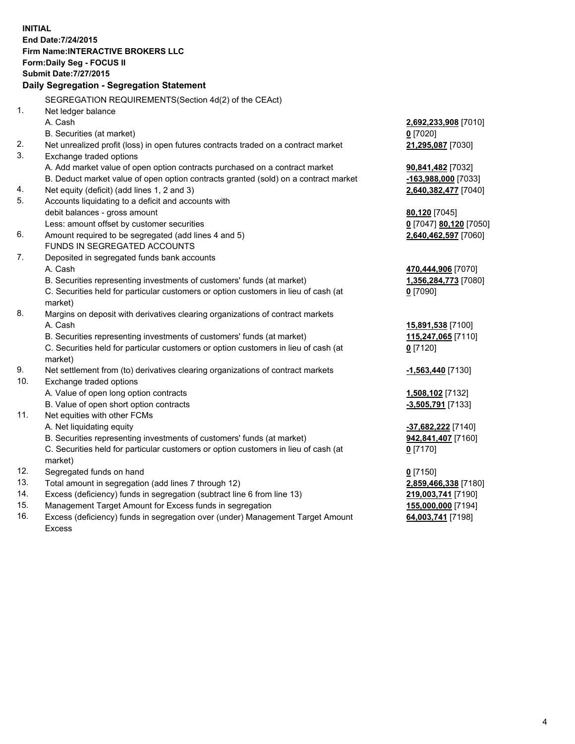**INITIAL End Date:7/24/2015 Firm Name:INTERACTIVE BROKERS LLC Form:Daily Seg - FOCUS II Submit Date:7/27/2015 Daily Segregation - Segregation Statement** SEGREGATION REQUIREMENTS(Section 4d(2) of the CEAct) 1. Net ledger balance A. Cash **2,692,233,908** [7010] B. Securities (at market) **0** [7020] 2. Net unrealized profit (loss) in open futures contracts traded on a contract market **21,295,087** [7030] 3. Exchange traded options A. Add market value of open option contracts purchased on a contract market **90,841,482** [7032] B. Deduct market value of open option contracts granted (sold) on a contract market **-163,988,000** [7033] 4. Net equity (deficit) (add lines 1, 2 and 3) **2,640,382,477** [7040] 5. Accounts liquidating to a deficit and accounts with debit balances - gross amount **80,120** [7045] Less: amount offset by customer securities **0** [7047] **80,120** [7050] 6. Amount required to be segregated (add lines 4 and 5) **2,640,462,597** [7060] FUNDS IN SEGREGATED ACCOUNTS 7. Deposited in segregated funds bank accounts A. Cash **470,444,906** [7070] B. Securities representing investments of customers' funds (at market) **1,356,284,773** [7080] C. Securities held for particular customers or option customers in lieu of cash (at market) **0** [7090] 8. Margins on deposit with derivatives clearing organizations of contract markets A. Cash **15,891,538** [7100] B. Securities representing investments of customers' funds (at market) **115,247,065** [7110] C. Securities held for particular customers or option customers in lieu of cash (at market) **0** [7120] 9. Net settlement from (to) derivatives clearing organizations of contract markets **-1,563,440** [7130] 10. Exchange traded options A. Value of open long option contracts **1,508,102** [7132] B. Value of open short option contracts **-3,505,791** [7133] 11. Net equities with other FCMs A. Net liquidating equity **-37,682,222** [7140] B. Securities representing investments of customers' funds (at market) **942,841,407** [7160] C. Securities held for particular customers or option customers in lieu of cash (at market) **0** [7170] 12. Segregated funds on hand **0** [7150] 13. Total amount in segregation (add lines 7 through 12) **2,859,466,338** [7180] 14. Excess (deficiency) funds in segregation (subtract line 6 from line 13) **219,003,741** [7190] 15. Management Target Amount for Excess funds in segregation **155,000,000** [7194]

16. Excess (deficiency) funds in segregation over (under) Management Target Amount Excess

**64,003,741** [7198]